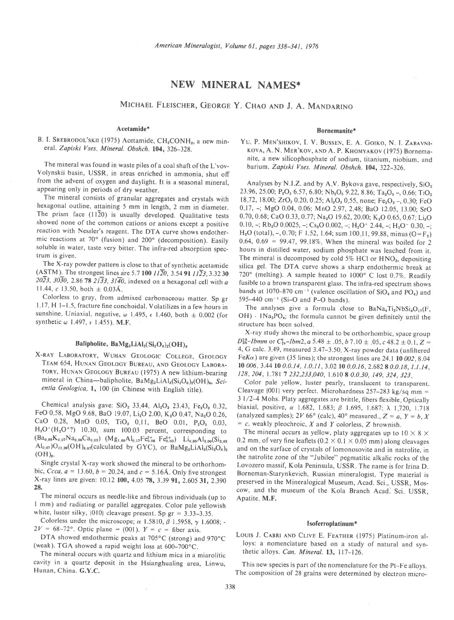# NEW MINERAL NAMES\*

MICHAEL FLEISCHER, GEORGE Y. CHAO AND J. A. MANDARINO

## Acetamide\*

## B. I. SREBRODOL'SKII (1975) Acetamide, CH<sub>3</sub>CONH<sub>2</sub>, a new mineral. Zapiski Vses. Mineral. Obshch. 104, 326-328.

The mineral was found in waste piles of a coal shaft of the L'vov-Volynskii basin, USSR, in areas enriched in ammonia, shut off from the advent of oxygen and daylight. It is a seasonal mineral, appearing only in periods of dry weather.

The mineral consists of granular aggregates and crystals with hexagonal outline, attaining 5 mm in length, 2 mm in diameter. The prism face  $(11\overline{2}0)$  is usually developed. Qualitative tests showed none of the common cations or anions except a positive reaction with Nessler's reagent. The DTA curve shows endother\_ mic reactions at 70" (fusion) and 200" (decomposition). Easily soluble in water, taste very bitter. The infra-red absorption spectrum is given.

The X-ray powder pattern is close to that of synthetic acetamide (ASTM). The strongest lines are 5.7 100  $11\overline{2}0$ , 3.54 91  $11\overline{2}3$ , 3.3230  $20\overline{2}3$ ,  $30\overline{3}0$ , 2.86 78  $21\overline{3}3$ ,  $31\overline{4}0$ , indexed on a hexagonal cell with a 11.44,  $c$  13.50, both  $\pm$  0.03Å.

Colorless to gray, from admixed carbonaceou; matter. Sp gr 1.17, H 1-1.5, fracture fine conchoidal. Volatilizes in a few hours in sunshine. Uniaxial, negative,  $\omega$  1.495,  $\epsilon$  1.460, both  $\pm$  0.002 (for synthetic  $\omega$  1.497,  $\epsilon$  1.455). M.F.

## Balipholite,  $BaMg_2LiAl_3(Si_2O_6)_2(OH)_8$

X-RAY LABORATORY, WUHAN GEOLOGIC COLLEGE, GEOLOGY TEAM 654, HUNAN GEOLOGY BUREAU, AND GEOLOGY LABORA-TORY, HUNAN GEOLOGY BUREAU (1975) A new lithium-bearing mineral in China-balipholite, BaMg<sub>2</sub>LiAl<sub>3</sub>(Si<sub>2</sub>O<sub>6</sub>)<sub>2</sub>(OH)<sub>8</sub>, Scientia Geologica, l, 100 (in Chinese with English title).

Chemical analysis gave:  $SiO<sub>2</sub>$  33.44, Al<sub>2</sub>O<sub>3</sub> 23.43, Fe<sub>2</sub>O<sub>3</sub> 0.32, FeO 0.58, MgO 9.68, BaO 19.07, Li<sub>2</sub>O 2.00, K<sub>2</sub>O 0.47, Na<sub>2</sub>O 0.26, CaO 0.28, MnO 0.05, TiO<sub>2</sub> 0.11, BeO 0.01, P<sub>2</sub>O<sub>5</sub> 0.03,  $H<sub>3</sub>O<sup>+</sup>(H<sub>2</sub>O<sup>+</sup>?)$  10.30, sum 100.03 percent, corresponding to  $(Ba_{0.88}K_{0.97}Na_{0.96}Ca_{0.03})$   $(Mg_{1.69}Al_{0.17}Fe_{0.06}^{2+}Fe_{0.03}^{3+})$   $Li_{0.95}Al_{3.90}(Si_{3.93}$  $A_{0.98}A_{0.07}$ <sup>1</sup>( $a_{0.06}$ C $a_{0.03}$ ) (Mg<sub>1.69</sub>Al<sub>0.17</sub><sup>P</sup>C<sub>0.08</sub> PC<sub>0.03</sub>) Ll<sub>0.98</sub>Al<sub>3.00</sub>(Si<sub>3.93</sub>)<br> $A_{0.07}$ )O<sub>11.96</sub>(OH)<sub>8.07</sub>(calculated by GYC), or BaMg<sub>2</sub>LiAl<sub>3</sub>(Si<sub>2</sub>O<sub>6</sub>)<sub>2</sub>  $(OH)_8$ .

Single crystal X-ray work showed the mineral to be orthorhombic, Ccca,  $a = 13.60$ ,  $b = 20.24$ , and  $c = 5.16$ Å. Only five strongest X-ray lines are given: 10.12 100, 4.05 78, 3.39 91, 2.605 31, 2.390 28.

The mineral occurs as needle-like and fibrous individuals (up to I mm) and radiating or parallel aggregates. Color pale yellowish white, luster silky,  $\{010\}$  cleavage present. Sp gr = 3.33-3.35.

Colorless under the microscope;  $\alpha$  1.5810,  $\beta$  1.5958,  $\gamma$  1.6008; - $2V = 68-72^{\circ}$ . Optic plane = (001).  $Y = c$  = fiber axis.

DTA showed endothermic peaks at  $705^{\circ}$ C (strong) and  $970^{\circ}$ C (weak). TGA showed a rapid weight loss at 600-700"C.

The mineral occurs with quartz and lithium mica in a miarolitic cavity in a quartz deposit in the Hsianghualing area, Linwu, Hunan, China. G.Y.C.

#### Bornemanite\*

YU. P. MEN'SHIKOV, I. V. BUSSEN, E. A. GOIKO, N. I. ZABAVNI-KOVA, A. N. MER'KOV, AND A. P. KHOMYAKOV (1975) Bornemanite, a new silicophosphate of sodium, titanium, niobium, and barium. Zapiski Vses. Mineral. Obshch. 104, 322-326.

Analyses by N.I.Z. and by A.V. Bykova gave, respectively,  $SiO<sub>2</sub>$ 23.96, 25.00; P<sub>2</sub>O<sub>5</sub> 6.57, 6.80; Nb<sub>2</sub>O<sub>5</sub> 9.22, 8.86; Ta<sub>2</sub>O<sub>5</sub> -, 0.66; TiO<sub>2</sub> 18.72, 18.00; ZrO<sub>2</sub> 0.20, 0.25; Al<sub>2</sub>O<sub>3</sub> 0.55, none; Fe<sub>2</sub>O<sub>3</sub> -, 0.30; FeO 0 17, -; MgO 0.04, 0.06; MnO 2.97, 2.48; BaO 12.05, 13.00; SrO 0.70, 0.68; CaO 0.33, 0.77; Na<sub>2</sub>O 19.62, 20.00; K<sub>2</sub>O 0.65, 0.67; Li<sub>2</sub>O 0. 10,  $-$ ; Rb<sub>2</sub>O 0.0025,  $-$ ; Cs<sub>2</sub>O 0.002,  $-$ ; H<sub>2</sub>O<sup>+</sup> 2.44,  $-$ ; H<sub>2</sub>O<sup>-</sup> 0.30,  $-$ ; H<sub>2</sub>O (total), -, 0.70; F 1.52, 1.64; sum 100 11, 99.88, minus (O=F<sub>2</sub>) 0.64, 0.69 = 99.47, 99.18%. When the mineral was boiled for 2 hours in distilled water, sodium phosphate was leached from it. The mineral is decomposed by cold 5% HCl or HNO<sub>3</sub>, depositing silica gel. The DTA curve shows a sharp endothermic break at  $720^\circ$  (melting). A sample heated to  $1000^\circ$  C lost 0.7%. Readily fusible to a brown transparent glass. The infra-red spectrum shows bands at 1070-870 cm<sup>-1</sup> (valence oscillation of  $SiO<sub>4</sub>$  and PO<sub>4</sub>) and 595-440 cm<sup>-1</sup> (Si-O and P-O bands).

The analyses give a formula close to  $BaNa<sub>4</sub>Ti<sub>2</sub>NbSi<sub>4</sub>O<sub>17</sub>(F,$  $OH$ )  $\cdot$  1Na<sub>3</sub>PO<sub>4</sub>; the formula cannot be given definitely until the structure has been solved.

X-ray study shows the mineral to be orthorhombic, space group  $D_{2h}^{28}$ -Ibmm or  $C_{2v}^2$ -Ibm2, a 5.48  $\pm$  .05, b 7.10  $\pm$  .05, c 48.2  $\pm$  0.1, Z = 4, G calc. 3 49, measured 3.47-3.5O X-ray powder data (unfiltered FeK $\alpha$ ) are given (35 lines); the strongest lines are 24.1 10 002, 8.04 10 006, 3.44 10 0.0.14, 1.0.11, 3.02 10 0.0.16, 2.682 8 0.0.18, 1.1.14, 128, 204, 1.781 7 232, 233, 040, 1.610 8 0.0.30, 149, 324, 323.

Color pale yellow, luster pearly, translucent to transparent. Cleavage {001} very perfect. Microhardness  $257-283$  kg/sq mm = 3 1/2-4 Mohs. Platy aggregates are brittle, fibers flexible, Optically biaxial, positive,  $\alpha$  1.682, 1.683;  $\beta$  1.695, 1.687;  $\lambda$  1.720, 1.718 (analyzed samples); 2V 66° (calc), 40° measured.,  $Z = a$ ,  $Y = b$ , X  $= c$ , weakly pleochroic, X and Y colorless, Z brownish.

The mineral occurs as yellow, platy aggregates up to  $10 \times 8 \times$ 0.2 mm, of very fine leaflets ( $0.2 \times 0.1 \times 0.05$  mm) along cleavages and on the surface of crystals of lomonosovite and in natrolite, in the natrolite zone of the "Jubilee" pegmatitic alkalic rocks of the Lovozero massif, Kola Peninsula, USSR. The name is for lrina D. Borneman-Starynkevich, Russian mineralogist. Type material is preserved in the Mineralogical Museum, Acad. Sci., USSR, Moscow, and the museum of the Kola Branch Acad.' Sci USSR, Apatite, M.F.

#### Isoferroplatinum \*

LOUIS J. CABRI AND CLIVE E. FEATHER (1975) Platinum-iron alloys: a nomenclature based on a study of natural and synthetic alloys. Can. Mineral. 13, 117-126.

This new species is part of the nomenclature for the Pt-Fe alloys. The composition of 28 grains were determined by electron micro-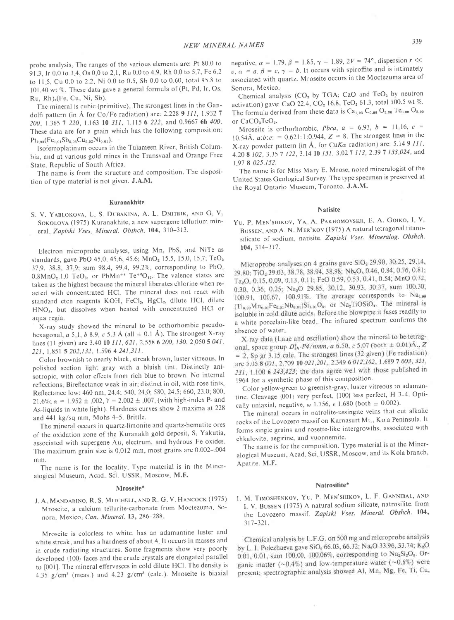probe analysis. The ranges of the various elements are: Pt 80.0 to 91.3, Ir 0.0 to 3.4, Os 0.0 to 2.1, Ru 0.0 to 4.9, Rh 0.0 to 5.7, Fe 6.2 to 11.5, Cu 0.0 to 2.2, Ni 0.0 to 0.5, Sb 0.0 to 0.60, total 95.8 to 101.40 wt %. These data gave a general formula of (Pt, Pd, Ir, Os, Ru, Rh),(Fe, Cu, Ni, Sb).

The mineral is cubic (primitive). The strongest lines in the Gandolfi pattern (in Å for Co/Fe radiation) are: 2.228 9  $III$ , 1.932 7 200, 1.365 7 220, 1.163 10 311, 1.115 6 222, and 0.9667 6b 400. These data are for a grain which has the following composition:  $\mathsf{Pt}_{2.93}(\mathsf{Fe}_{1.01}\mathsf{Sb}_{0.03}\mathsf{Cu}_{0.02}\mathsf{Ni}_{0.01}).$ 

<sub>2.93</sub>(Fe<sub>1,91</sub>Sb<sub>0,93</sub>Cu<sub>0,92</sub>N1<sub>0,91</sub>).<br>Isoferroplatinum occurs in the Tulameen River, British Columbia, and at various gold mines in the Transvaal and Orange Free State, Republic of South Africa.

The name is from the structure and composition. The disposition of type material is not given. J.A.M.

#### Kuranakhite

S. V. YABLOKOVA, L. S. DUBAKINA, A. L. DMITRIK, AND G. V. SOKOLOVA (1975) Kuranakhite, a new supergene tellurium mineral, Zapiski Vses, Mineral. Obshch. 104, 310-313.

Electron microprobe analyses, using Mn, PbS, and NiTe as standards, gave PbO 45.0, 45.6, 45.6; MnO<sub>2</sub> 15.5, 15.0, 15.7; TeO<sub>2</sub> 37.9, 38.8, 37.9; sum 98.4, 99.4, 99.2%, corresponding to PbO.  $0.8MnO<sub>2</sub>$ . 1.0 TeO<sub>3</sub>, or PbMn<sup>+4</sup> Te<sup>+6</sup>O<sub>12</sub>. The valence states are taken as the highest because the mineral liberates chlorine when reacted with concentrated HCl. The mineral does not react with standard etch reagents KOH, FeCl<sub>3</sub>, HgCl<sub>2</sub>, dilute HCl, dilute HNO<sub>3</sub>, but dissolves when heated with concentrated HCl or aqua regia.

X-ray study showed the mineral to be orthorhombic pseudohexagonal,  $a 5, 1, b 8.9, c 5.3 \text{ Å}$  (all  $\pm$  0.1 Å). The strongest X-ray lines (11 given) are 3.40 10 111, 621, 2.558 6 200, 130, 2,050 5 041, 22 t. | 85t 5 202.132, 1.596 4 24 1,31 I.

Color brownish to nearly black, streak brown, luster vitreous ln polished section light gray with a bluish tint. Distinctly anisotropic, with color cffects from rich blue to brown. No internal reflections. Bireflectance weak in air; distinct in oil, with rose tints. Reflectance low: 460 nm, 24.4; 540, 24.0; 580, 24.5; 660, 23.0; 800, 21.6%;  $\alpha = 1.952 \pm .002$ ,  $\gamma = 2.002 \pm .007$ , (with high-index P- and As-liquids in white light). Hardness curves show 2 maxima at 228 and  $441 \text{ kg/sq mm}$ , Mohs  $4-5$ . Brittle.

The mineral occurs in quartz-limonite and quartz-hematite ores of the oxidation zone of the Kuranakh gold deposit, S. Yakutia, associated with supergene Au, electrum, and hydrous Fe oxides. The maximum grain size is 0.012 mm, most grains are 0.002-004 mm.

The name is for the locality. Type material is in the Mineralogical Museum, Acad. Sci. USSR, Moscow. M.F.

#### Mroseite\*

J. A. MANDARINO, R. S. MITCHELL, AND R. G. V. HANCOCK (1975) Mroseite. a calcium tellurite-carbonate from Moctezuma, Sonora, Mexico, Can. Mineral. 13, 286-288.

Mroseite is colorless to white, has an adamantine luster and white streak, and has a hardness of about 4. It occurs in masses and in crude radiating structures. Some fragments show very poorly developed {100} faces and the crude crystals are elongated parallel to [001]. The mineral effervesces in cold dilute HCl. The density is 4.35  $g/cm<sup>3</sup>$  (meas.) and 4.23  $g/cm<sup>3</sup>$  (calc.). Mroseite is biaxial

negative,  $\alpha = 1.79$ ,  $\beta = 1.85$ ,  $\gamma = 1.89$ ,  $2V = 74^{\circ}$ , dispersion  $r \ll$  $v, \alpha = a, \beta = c, \gamma = b$ . It occurs with spiroffite and is intimately associated with quartz. Mroseite occurs in the Moctezuma area of Sonora, Mexico

Chemical analysis ( $CO<sub>2</sub>$  by TGA; CaO and TeO<sub>2</sub> by neutron activation) gave: CaO 22.4, CO<sub>2</sub> 16.8, TeO<sub>2</sub> 61.3, total 100.5 wt %. The formula derived from these data is  $Ca<sub>1.03</sub> C<sub>0.99</sub> O<sub>3.00</sub> T<sub>0.99</sub> O<sub>2.00</sub>$ or CaCO<sub>3</sub>TeO<sub>2</sub>.

Mroseite is orthorhombic, *Pbca*,  $a = 6.93$ ,  $b = 11.16$ ,  $c =$ 10.54Å,  $a:b:c: = 0.621:1:0.944$ ,  $Z = 8$ . The strongest lines in the X-ray powder pattern (in Å, for CuK $\alpha$  radiation) are: 5.14 9 111, 4.20 8 102, 3.35 7 122, 3.14 10 131, 3.02 7 113, 2.39 7 133,024, and | 97 8 025,152.

The name is for Miss Mary E. Mrose, noted mineralogist of the United States Geological Survey. The type specimen is preserved at the Royal Ontario Museum, Toronto. J.A.M.

## **Natisite**

YU. P. MEN'SHIKOV, YA. A. PAKHOMOVSKII, E. A. GOIKO, I. V. BUSSEN, AND A. N. MER'KOV (1975) A natural tetragonal titanosilicate of sodium, natisite. Zapiski Vses. Mineralog. Obshch. 104, 314-317.

Microprobe analyses on 4 grains gave  $SiO_2$  29.90, 30.25, 29.14, 29.80; TiO<sub>2</sub> 39.03, 38.78, 38.94, 38.98; Nb<sub>2</sub>O<sub>5</sub> 0.46, 0.84, 0.76, 0.81; Ta<sub>2</sub>O<sub>s</sub> 0.15, 0.09, 0.13, 0.11; FeO 0.59, 0.53, 0.41, 0.54; MnO 0.32, 0.30, 0.36, 0.25; Na<sub>2</sub>O 29.85, 30.12, 30.93, 30.37, sum 100.30, 100.91, 100.67, 100.91%. The average corresponds to Na<sub>1.09</sub>  $(T_{0.99}M_{\text{B}_{0.01}}F_{0.01}N_{\text{B}_{0.01}})Si_{1.01}O_0$ , or  $Na_2TiOSiO_4$ . The mineral is isoluble in cold dilute acids. Before the blowpipe it fuses readily to<br>a white porcelain-like bead. The infrared spectrum confirms the

absence of water.<br>X-ray data (Laue and oscillation) show the mineral to be tetragonal, space group  $D_{4n}^T$ -P4/nmm, a 6.50, c 5.07 (both  $\pm$  0.01)Å., Z  $= 2$ , Sp gr 3.15 calc. The strongest lines (32 given) (Fe radiation) are 5.05 8 001, 2.709 10 021, 201, 2.349 6 012, 102, 1.689 7 003, 321,  $231, 1.100$  6  $243,423$ ; the data agree well with those published in 1964 for a synthetic phase of this composition'

Color yellow-green to greenish-gray, luster vitreous to adamantine. Cleavage {001} very perfect, {100} less perfect, H 3-4. Optically uniaxial, negative,  $\omega$  1.756,  $\epsilon$  1.680 (both  $\pm$  0.002).

The mineral occurs in natrolite-ussingite veins that cut alkalic rocks of the Lovozero massif on Karnasurt Mt., Kola Peninsula. It forms single grains and rosette-like intergrowths, associated with chkalovite, aegirine, and vuonnemite.

The name is for the composition. Type material is at the Mineralogical Museum, Acad. Sci. USSR, Moscow, and its Kola branch, Apatite. M.F.

#### Natrosilite\*

I. M. TIMOSHENKOV, YU. P. MEN'SHIKOV, L. F. GANNIBAL, AND I. V. BUSSEN (1975) A natural sodium silicate, natrosilite, from the Lovozero massif. Zapiski Vses. Mineral. Obshch. 104, 317-32t.

Chemical analysis by L.F.G. on 500 mg and microprobe analysis by L. I. Polezhaeva gave  $SiO_2$  66.03, 66.32; Na<sub>2</sub>O 33.96, 33.74; K<sub>2</sub>O 0.01, 0.01, sum 100.00, 100.06%, corresponding to  $Na_2Si_2O_6$ . Organic matter ( $\sim 0.4\%$ ) and low-temperature water ( $\sim 0.6\%$ ) were present; spectrographic analysis showed Al, Mn, Mg, Fe, Ti, Cu,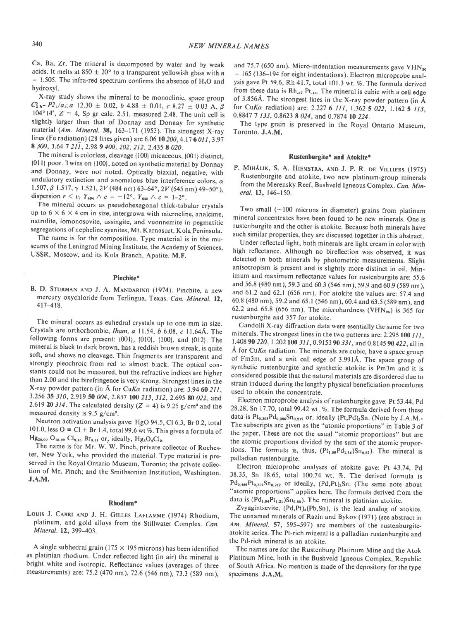Ca, Ba, Zr. The mineral is decomposed by water and by weak acids. It melts at 850  $\pm$  20° to a transparent yellowish glass with n  $= 1.505$ . The infra-red spectrum confirms the absence of  $H_2O$  and hydroxyl.

X-ray study shows the mineral to be monoclinic, space group  $C_{2h}^5$ -P2<sub>1</sub>/a<sub>1</sub>; a 12.30  $\pm$  0.02, b 4.88  $\pm$  0.01, c 8.27  $\pm$  0.03 A,  $\beta$ 104°14',  $Z = 4$ , Sp gr calc. 2.51, measured 2.48. The unit cell is slightly larger than that of Donnay and Donnay for synthetic material (Am. Mineral. 38, 163-171 (1953). The strongest X-ray lines (Fe radiation) (28 lines given) are 6.06 10 200, 4.17 6 011, 3.97 8 300, 3.64 7 211, 2.98 9 400, 202, 212, 2.435 8 020.

The mineral is colorless, cleavage {100} micaceous, {001} distinct, {01l} poor. Twins on {100}, noted on synthetic material by Donnay and Donnay, were not noted. Optically biaxial, negative, with undulatory extinction and anomalous blue interference colors,  $\alpha$ 1.507,  $\beta$  1.517,  $\gamma$  1.521, 2V (484 nm) 63-64°, 2V (645 nm) 49-50°), dispersion  $r < v$ ,  $Y_{484} \wedge c = -12^{\circ}$ ,  $Y_{845} \wedge c = 1-2^{\circ}$ .

The mineral occurs as pseudohexagonal thick-tabular crystals up to  $6 \times 6 \times 4$  cm in size, intergrown with microcline, analcime, natrolite, lomonosovite, ussingite, and vuonnemite in pegmatitic segregations of nepheline syenites, Mt. Karnasurt, Kola Peninsula.

The name is for the composition. Type material is in the museums of the Leningrad Mining Institute, the Academy of Sciences, USSR, Moscow, and its Kola Branch. Apatite. M.F.

#### Pinchite\*

B. D. STURMAN AND J. A. MANDARINO (1974). Pinchite, a new mercury oxychloride from Terlingua, Texas. Can. Mineral. 12. 4t74t8.

The mineral occurs as euhedral crystals up to one mm in size. Crystals are orthorhombic, Ibam, a 11.54, b 6.08, c I1.64A. The following forms are present: {001}, {010}, {100}, and {012}. The mineral is black to dark brown, has a reddish brown streak, is quite soft, and shows no cleavage. Thin fragments are transparent and strongly pleochroic from red to almost black. The optical constants could not be measured, but the refractive indices are higher than 2.00 and the birefringence is very strong. Strongest lines in the X-ray powder pattern (in Å for CuKa radiation) are: 3.94 60 211, 3.256 35 310, 2.919 50 004, 2.837 100 213, 312, 2.695 80 022, and 2.619 20 314. The calculated density ( $Z = 4$ ) is 9.25 g/cm<sup>3</sup> and the measured density is  $9.5$  g/cm<sup>3</sup>.

Neutron activation analysis gave: HgO 94.5, Cl 6.3, Br 0.2, total 101.0, less  $O = Cl + Br 1.4$ , total 99.6 wt %. This gives a formula of  $Hg_{20.00}$  O<sub>15.99</sub> Cl<sub>8.15</sub> Br<sub>0.11</sub> or, ideally,  $Hg_{5}O_{4}Cl_{2}$ .

The name is for Mr. W. W. Pinch, private collector of Rochester, New York, who provided the material. Type material is preserved in the Royal Ontario Museum, Toronto; the private collection of Mr. Pinch; and the Smithsonian Institution, Washington. J.A.M.

### Rhodium\*

Louis J. CABRI AND J. H. GILLES LAFLAMME (1974) Rhodium, platinum, and gold alloys from the Stillwater Complex. Can. Mineral. **12,** 399–403.

A single subhedral grain (175  $\times$  195 microns) has been identified as platinian rhodium. Under reflected light (in air) the mineral is bright white and isotropic. Reflectance values (averages of three measurements) are: 75.2 (470 nm), 72.6 (546 nm), 73.3 (589 nm),

and 75.7 (650 nm). Micro-indentation measurements gave  $VHN<sub>so</sub>$  $= 165$  (136-194 for eight indentations). Electron microprobe analysis gave Pt 59.6, Rh 41.7, total 101.3 wt. %. The formula derived from these data is  $Rh_{.57}$  Pt.43. The mineral is cubic with a cell edge of 3.856A. The strongest lines in the X-ray powder pattern (in-A for CuK $\alpha$  radiation) are: 2.227 6 111, 1.362 5 022, 1.162 5 113, 0.8847 7 133, 0.8623 8 024, and 0.7874 10 224.

The type grain is preserved in the Royal Ontario Museum, Toronto. J.A.M.

#### Rustenburgite\* and Atokite\*

P. MIHÁLIK, S. A. HIEMSTRA, AND J. P. R. DE VILLIERS (1975) Rustenburgite and atokite, two new platinum-group minerals from the Merensky Reef, Bushveld Igneous Complex. Can. Mineral.13.146-150.

Two small  $(\sim 100$  microns in diameter) grains from platinum mineral concentrates have been found to be new minerals. One is rustenburgite and the other is atokite. Because both minerals have such similar properties, they are discussed together in this abstract.

Under reflected light, both minerals are light cream in color with high reflectance. Although no bireflection was observed, it was detected in both minerals by photometric measurements. Slight anisotropism is present and is slightly more distinct in oil. Minimum and maximum reflectance values for rustenburgite are: 55.6 and 56.8 (480 nm),59.3 and 60.3 (546 nm),59.9 and 60.9 (589 nm), and 61.2 and 62.1 (656 nm). For atokite the values are: 57.4 and 60.8 (480 nm), 59.2 and 65.1 (546 nm), 60.4 and 63.5 (589 nm), and 62.2 and 65.8 (656 nm). The microhardness (VHN<sub>25</sub>) is 365 for rustenburgite and 357 for atokite.

Gandolfi X-ray diffraction data were esentially the same for two minerals. The strongest lines in the two patterns are:  $2.295100$   $111$ , 1.408 90 220, 1.202 100 311, 0.9153 90 331, and 0.8145 90 422, all in Å for CuK $\alpha$  radiation. The minerals are cubic, have a space group of Fm3m, and a unit cell edge of 3.991A. The space group of synthetic rustenburgite and synthetic atokite is Pm3m and it is considered possible that the natural materials are disordered due to strain induced during the lengthy physical beneficiation procedures used to obtain the concentrate.

Electron microprobe analysis of rustenburgite gave: Pt 53.44, Pd 28.28, Sn 17.70, total 99.42 wt. %. The formula derived from these data is  $Pt_{0.398}Pd_{0.386}Sn_{0.217}$  or, ideally (Pt,Pd)<sub>3</sub>Sn. (Note by J.A.M.-The subscripts are given as the "atomic proportions" in Table 3 of the paper. These are not the usual "atomic proportions" but are the atomic proportions divided by the sum of the atomic proportions. The formula is, thus,  $(Pt_{1.59}Pd_{1.54})Sn_{0.87})$ . The mineral is palladian rustenburgite.

Electron microprobe analyses of atokite gave: pt 43.74, pd 38.35, Sn 18.65, total 100.74 wt. %. The derived formula is  $Pd_{0.486}Pt_{0.302}Sn_{0.212}$  or ideally, (Pd,Pt)<sub>3</sub>Sn. (The same note about "atomic proportions" applies here. The formula derived from the data is  $(Pd_{1,94}Pt_{1,21})Sn_{0,85})$ . The mineral is platinian atokite.

Zvyagintsevite,  $(Pd, Pt)_{a}(Pb,Sn)$ , is the lead analog of atokite. The unnamed minerals of Razin and Bykov (1971) (see abstract in Am. Mineral. 57, 595-597) are members of the rustenburgiteatokite series. The Pt-rich mineral is a palladian rustenburgite and the Pd-rich mineral is an atokite.

The names are for the Rustenburg Platinum Mine and the Atok Platinum Mine, both in the Bushveld lgneous Complex, Republic of South Africa. No mention is made of the depository for the type specimens. J.A.M.